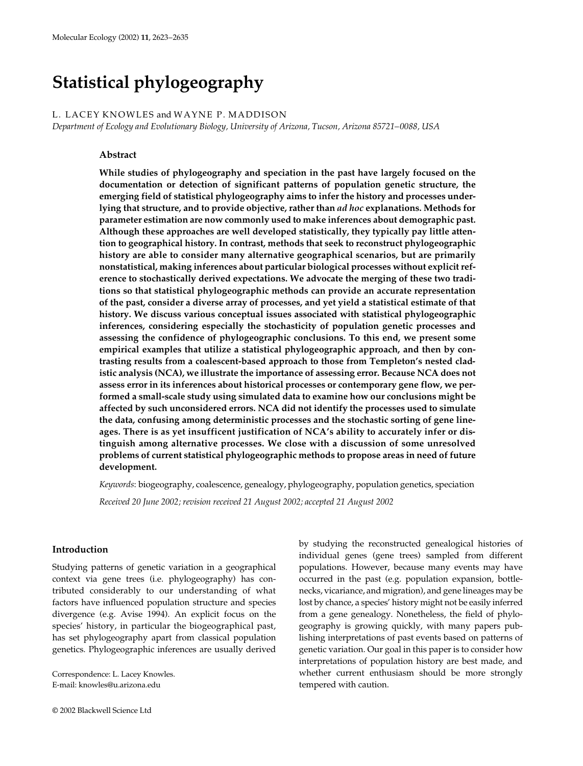# **Statistical phylogeography**

### L. LACEY KNOWLES and WAYNE P. MADDISON

*Department of Ecology and Evolutionary Biology, University of Arizona, Tucson, Arizona 85721–0088, USA*

# **Abstract**

**While studies of phylogeography and speciation in the past have largely focused on the documentation or detection of significant patterns of population genetic structure, the emerging field of statistical phylogeography aims to infer the history and processes underlying that structure, and to provide objective, rather than** *ad hoc* **explanations. Methods for parameter estimation are now commonly used to make inferences about demographic past. Although these approaches are well developed statistically, they typically pay little attention to geographical history. In contrast, methods that seek to reconstruct phylogeographic history are able to consider many alternative geographical scenarios, but are primarily nonstatistical, making inferences about particular biological processes without explicit reference to stochastically derived expectations. We advocate the merging of these two traditions so that statistical phylogeographic methods can provide an accurate representation of the past, consider a diverse array of processes, and yet yield a statistical estimate of that history. We discuss various conceptual issues associated with statistical phylogeographic inferences, considering especially the stochasticity of population genetic processes and assessing the confidence of phylogeographic conclusions. To this end, we present some empirical examples that utilize a statistical phylogeographic approach, and then by contrasting results from a coalescent-based approach to those from Templeton's nested cladistic analysis (NCA), we illustrate the importance of assessing error. Because NCA does not assess error in its inferences about historical processes or contemporary gene flow, we performed a small-scale study using simulated data to examine how our conclusions might be affected by such unconsidered errors. NCA did not identify the processes used to simulate the data, confusing among deterministic processes and the stochastic sorting of gene lineages. There is as yet insufficent justification of NCA's ability to accurately infer or distinguish among alternative processes. We close with a discussion of some unresolved problems of current statistical phylogeographic methods to propose areas in need of future development.**

*Keywords*: biogeography, coalescence, genealogy, phylogeography, population genetics, speciation

*Received 20 June 2002; revision received 21 August 2002; accepted 21 August 2002*

#### **Introduction**

Studying patterns of genetic variation in a geographical context via gene trees (i.e. phylogeography) has contributed considerably to our understanding of what factors have influenced population structure and species divergence (e.g. Avise 1994). An explicit focus on the species' history, in particular the biogeographical past, has set phylogeography apart from classical population genetics. Phylogeographic inferences are usually derived

Correspondence: L. Lacey Knowles. E-mail: knowles@u.arizona.edu

by studying the reconstructed genealogical histories of individual genes (gene trees) sampled from different populations. However, because many events may have occurred in the past (e.g. population expansion, bottlenecks, vicariance, and migration), and gene lineages may be lost by chance, a species' history might not be easily inferred from a gene genealogy. Nonetheless, the field of phylogeography is growing quickly, with many papers publishing interpretations of past events based on patterns of genetic variation. Our goal in this paper is to consider how interpretations of population history are best made, and whether current enthusiasm should be more strongly tempered with caution.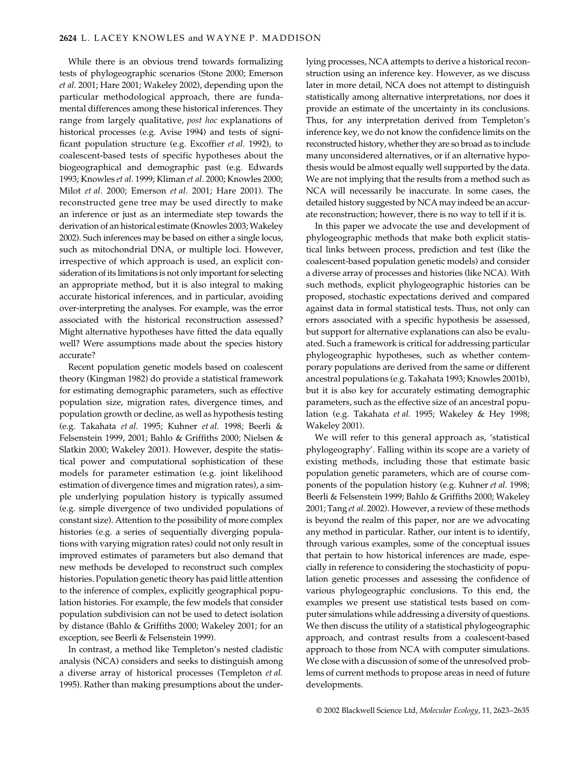While there is an obvious trend towards formalizing tests of phylogeographic scenarios (Stone 2000; Emerson *et al*. 2001; Hare 2001; Wakeley 2002), depending upon the particular methodological approach, there are fundamental differences among these historical inferences. They range from largely qualitative, *post hoc* explanations of historical processes (e.g. Avise 1994) and tests of significant population structure (e.g. Excoffier *et al*. 1992), to coalescent-based tests of specific hypotheses about the biogeographical and demographic past (e.g. Edwards 1993; Knowles *et al*. 1999; Kliman *et al*. 2000; Knowles 2000; Milot *et al*. 2000; Emerson *et al*. 2001; Hare 2001). The reconstructed gene tree may be used directly to make an inference or just as an intermediate step towards the derivation of an historical estimate (Knowles 2003; Wakeley 2002). Such inferences may be based on either a single locus, such as mitochondrial DNA, or multiple loci. However, irrespective of which approach is used, an explicit consideration of its limitations is not only important for selecting an appropriate method, but it is also integral to making accurate historical inferences, and in particular, avoiding over-interpreting the analyses. For example, was the error associated with the historical reconstruction assessed? Might alternative hypotheses have fitted the data equally well? Were assumptions made about the species history accurate?

Recent population genetic models based on coalescent theory (Kingman 1982) do provide a statistical framework for estimating demographic parameters, such as effective population size, migration rates, divergence times, and population growth or decline, as well as hypothesis testing (e.g. Takahata *et al*. 1995; Kuhner *et al*. 1998; Beerli & Felsenstein 1999, 2001; Bahlo & Griffiths 2000; Nielsen & Slatkin 2000; Wakeley 2001). However, despite the statistical power and computational sophistication of these models for parameter estimation (e.g. joint likelihood estimation of divergence times and migration rates), a simple underlying population history is typically assumed (e.g. simple divergence of two undivided populations of constant size). Attention to the possibility of more complex histories (e.g. a series of sequentially diverging populations with varying migration rates) could not only result in improved estimates of parameters but also demand that new methods be developed to reconstruct such complex histories. Population genetic theory has paid little attention to the inference of complex, explicitly geographical population histories. For example, the few models that consider population subdivision can not be used to detect isolation by distance (Bahlo & Griffiths 2000; Wakeley 2001; for an exception, see Beerli & Felsenstein 1999).

In contrast, a method like Templeton's nested cladistic analysis (NCA) considers and seeks to distinguish among a diverse array of historical processes (Templeton *et al*. 1995). Rather than making presumptions about the underlying processes, NCA attempts to derive a historical reconstruction using an inference key. However, as we discuss later in more detail, NCA does not attempt to distinguish statistically among alternative interpretations, nor does it provide an estimate of the uncertainty in its conclusions. Thus, for any interpretation derived from Templeton's inference key, we do not know the confidence limits on the reconstructed history, whether they are so broad as to include many unconsidered alternatives, or if an alternative hypothesis would be almost equally well supported by the data. We are not implying that the results from a method such as NCA will necessarily be inaccurate. In some cases, the detailed history suggested by NCA may indeed be an accurate reconstruction; however, there is no way to tell if it is.

In this paper we advocate the use and development of phylogeographic methods that make both explicit statistical links between process, prediction and test (like the coalescent-based population genetic models) and consider a diverse array of processes and histories (like NCA). With such methods, explicit phylogeographic histories can be proposed, stochastic expectations derived and compared against data in formal statistical tests. Thus, not only can errors associated with a specific hypothesis be assessed, but support for alternative explanations can also be evaluated. Such a framework is critical for addressing particular phylogeographic hypotheses, such as whether contemporary populations are derived from the same or different ancestral populations (e.g. Takahata 1993; Knowles 2001b), but it is also key for accurately estimating demographic parameters, such as the effective size of an ancestral population (e.g. Takahata *et al*. 1995; Wakeley & Hey 1998; Wakeley 2001).

We will refer to this general approach as, 'statistical phylogeography'. Falling within its scope are a variety of existing methods, including those that estimate basic population genetic parameters, which are of course components of the population history (e.g. Kuhner *et al*. 1998; Beerli & Felsenstein 1999; Bahlo & Griffiths 2000; Wakeley 2001; Tang *et al*. 2002). However, a review of these methods is beyond the realm of this paper, nor are we advocating any method in particular. Rather, our intent is to identify, through various examples, some of the conceptual issues that pertain to how historical inferences are made, especially in reference to considering the stochasticity of population genetic processes and assessing the confidence of various phylogeographic conclusions. To this end, the examples we present use statistical tests based on computer simulations while addressing a diversity of questions. We then discuss the utility of a statistical phylogeographic approach, and contrast results from a coalescent-based approach to those from NCA with computer simulations. We close with a discussion of some of the unresolved problems of current methods to propose areas in need of future developments.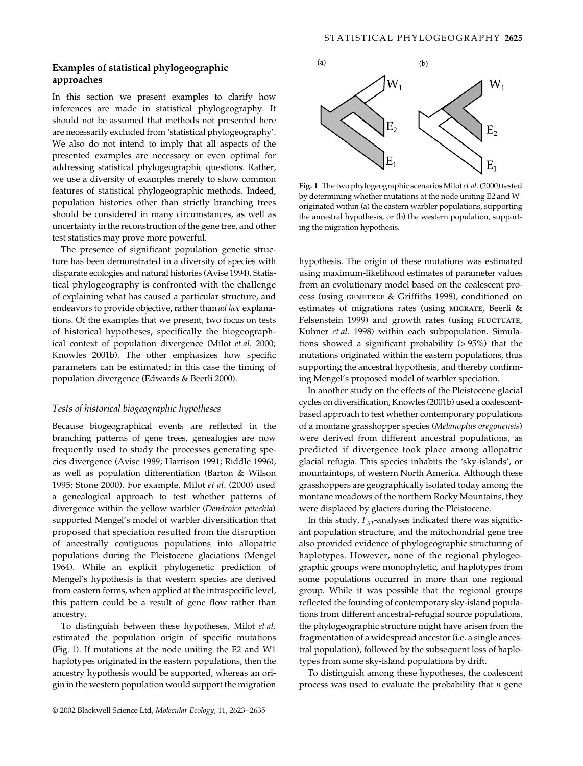# **Examples of statistical phylogeographic approaches**

In this section we present examples to clarify how inferences are made in statistical phylogeography. It should not be assumed that methods not presented here are necessarily excluded from 'statistical phylogeography'. We also do not intend to imply that all aspects of the presented examples are necessary or even optimal for addressing statistical phylogeographic questions. Rather, we use a diversity of examples merely to show common features of statistical phylogeographic methods. Indeed, population histories other than strictly branching trees should be considered in many circumstances, as well as uncertainty in the reconstruction of the gene tree, and other test statistics may prove more powerful.

The presence of significant population genetic structure has been demonstrated in a diversity of species with disparate ecologies and natural histories (Avise 1994). Statistical phylogeography is confronted with the challenge of explaining what has caused a particular structure, and endeavors to provide objective, rather than *ad hoc* explanations. Of the examples that we present, two focus on tests of historical hypotheses, specifically the biogeographical context of population divergence (Milot *et al*. 2000; Knowles 2001b). The other emphasizes how specific parameters can be estimated; in this case the timing of population divergence (Edwards & Beerli 2000).

#### *Tests of historical biogeographic hypotheses*

Because biogeographical events are reflected in the branching patterns of gene trees, genealogies are now frequently used to study the processes generating species divergence (Avise 1989; Harrison 1991; Riddle 1996), as well as population differentiation (Barton & Wilson 1995; Stone 2000). For example, Milot *et al*. (2000) used a genealogical approach to test whether patterns of divergence within the yellow warbler (*Dendroica petechia*) supported Mengel's model of warbler diversification that proposed that speciation resulted from the disruption of ancestrally contiguous populations into allopatric populations during the Pleistocene glaciations (Mengel 1964). While an explicit phylogenetic prediction of Mengel's hypothesis is that western species are derived from eastern forms, when applied at the intraspecific level, this pattern could be a result of gene flow rather than ancestry.

To distinguish between these hypotheses, Milot *et al*. estimated the population origin of specific mutations (Fig. 1). If mutations at the node uniting the E2 and W1 haplotypes originated in the eastern populations, then the ancestry hypothesis would be supported, whereas an origin in the western population would support the migration



In this study,  $F_{ST}$ -analyses indicated there was significant population structure, and the mitochondrial gene tree also provided evidence of phylogeographic structuring of haplotypes. However, none of the regional phylogeographic groups were monophyletic, and haplotypes from some populations occurred in more than one regional group. While it was possible that the regional groups reflected the founding of contemporary sky-island populations from different ancestral-refugial source populations, the phylogeographic structure might have arisen from the fragmentation of a widespread ancestor (i.e. a single ancestral population), followed by the subsequent loss of haplotypes from some sky-island populations by drift.

To distinguish among these hypotheses, the coalescent process was used to evaluate the probability that *n* gene



**Fig. 1** The two phylogeographic scenarios Milot *et al*. (2000) tested by determining whether mutations at the node uniting  $E2$  and  $W_1$ originated within (a) the eastern warbler populations, supporting the ancestral hypothesis, or (b) the western population, supporting the migration hypothesis.

hypothesis. The origin of these mutations was estimated using maximum-likelihood estimates of parameter values from an evolutionary model based on the coalescent process (using genetree & Griffiths 1998), conditioned on estimates of migrations rates (using MIGRATE, Beerli  $\&$ Felsenstein 1999) and growth rates (using FLUCTUATE, Kuhner *et al*. 1998) within each subpopulation. Simulations showed a significant probability (> 95%) that the mutations originated within the eastern populations, thus supporting the ancestral hypothesis, and thereby confirming Mengel's proposed model of warbler speciation.

In another study on the effects of the Pleistocene glacial cycles on diversification, Knowles (2001b) used a coalescentbased approach to test whether contemporary populations of a montane grasshopper species (*Melanoplus oregonensis*) were derived from different ancestral populations, as predicted if divergence took place among allopatric glacial refugia. This species inhabits the 'sky-islands', or mountaintops, of western North America. Although these grasshoppers are geographically isolated today among the montane meadows of the northern Rocky Mountains, they were displaced by glaciers during the Pleistocene.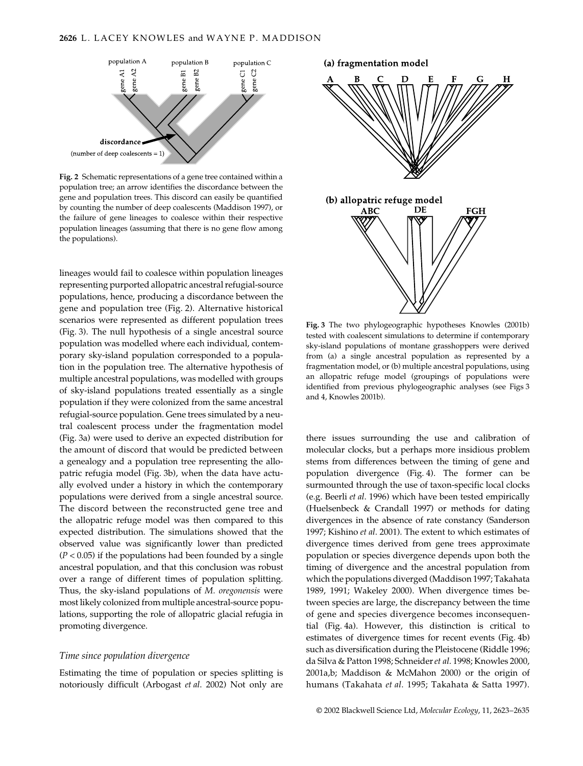

**Fig. 2** Schematic representations of a gene tree contained within a population tree; an arrow identifies the discordance between the gene and population trees. This discord can easily be quantified by counting the number of deep coalescents (Maddison 1997), or the failure of gene lineages to coalesce within their respective population lineages (assuming that there is no gene flow among the populations).

lineages would fail to coalesce within population lineages representing purported allopatric ancestral refugial-source populations, hence, producing a discordance between the gene and population tree (Fig. 2). Alternative historical scenarios were represented as different population trees (Fig. 3). The null hypothesis of a single ancestral source population was modelled where each individual, contemporary sky-island population corresponded to a population in the population tree. The alternative hypothesis of multiple ancestral populations, was modelled with groups of sky-island populations treated essentially as a single population if they were colonized from the same ancestral refugial-source population. Gene trees simulated by a neutral coalescent process under the fragmentation model (Fig. 3a) were used to derive an expected distribution for the amount of discord that would be predicted between a genealogy and a population tree representing the allopatric refugia model (Fig. 3b), when the data have actually evolved under a history in which the contemporary populations were derived from a single ancestral source. The discord between the reconstructed gene tree and the allopatric refuge model was then compared to this expected distribution. The simulations showed that the observed value was significantly lower than predicted  $(P < 0.05)$  if the populations had been founded by a single ancestral population, and that this conclusion was robust over a range of different times of population splitting. Thus, the sky-island populations of *M. oregonensis* were most likely colonized from multiple ancestral-source populations, supporting the role of allopatric glacial refugia in promoting divergence.

#### *Time since population divergence*

Estimating the time of population or species splitting is notoriously difficult (Arbogast *et al*. 2002) Not only are (a) fragmentation model



**Fig. 3** The two phylogeographic hypotheses Knowles (2001b) tested with coalescent simulations to determine if contemporary sky-island populations of montane grasshoppers were derived from (a) a single ancestral population as represented by a fragmentation model, or (b) multiple ancestral populations, using an allopatric refuge model (groupings of populations were identified from previous phylogeographic analyses (see Figs 3 and 4, Knowles 2001b).

there issues surrounding the use and calibration of molecular clocks, but a perhaps more insidious problem stems from differences between the timing of gene and population divergence (Fig. 4). The former can be surmounted through the use of taxon-specific local clocks (e.g. Beerli *et al*. 1996) which have been tested empirically (Huelsenbeck & Crandall 1997) or methods for dating divergences in the absence of rate constancy (Sanderson 1997; Kishino *et al*. 2001). The extent to which estimates of divergence times derived from gene trees approximate population or species divergence depends upon both the timing of divergence and the ancestral population from which the populations diverged (Maddison 1997; Takahata 1989, 1991; Wakeley 2000). When divergence times between species are large, the discrepancy between the time of gene and species divergence becomes inconsequential (Fig. 4a). However, this distinction is critical to estimates of divergence times for recent events (Fig. 4b) such as diversification during the Pleistocene (Riddle 1996; da Silva & Patton 1998; Schneider *et al*. 1998; Knowles 2000, 2001a,b; Maddison & McMahon 2000) or the origin of humans (Takahata *et al*. 1995; Takahata & Satta 1997).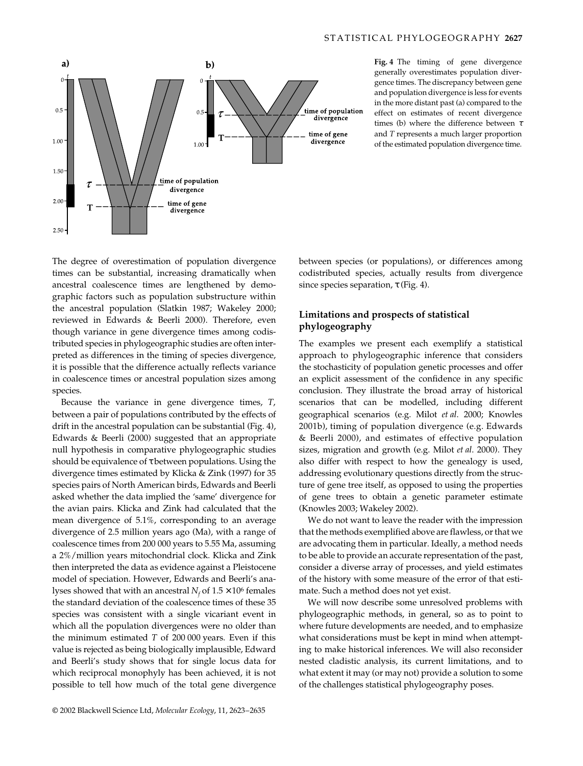

**Fig. 4** The timing of gene divergence generally overestimates population divergence times. The discrepancy between gene and population divergence is less for events in the more distant past (a) compared to the effect on estimates of recent divergence times (b) where the difference between  $\tau$ and *T* represents a much larger proportion of the estimated population divergence time.

The degree of overestimation of population divergence times can be substantial, increasing dramatically when ancestral coalescence times are lengthened by demographic factors such as population substructure within the ancestral population (Slatkin 1987; Wakeley 2000; reviewed in Edwards & Beerli 2000). Therefore, even though variance in gene divergence times among codistributed species in phylogeographic studies are often interpreted as differences in the timing of species divergence, it is possible that the difference actually reflects variance in coalescence times or ancestral population sizes among species.

Because the variance in gene divergence times, *T*, between a pair of populations contributed by the effects of drift in the ancestral population can be substantial (Fig. 4), Edwards & Beerli (2000) suggested that an appropriate null hypothesis in comparative phylogeographic studies should be equivalence of  $\tau$  between populations. Using the divergence times estimated by Klicka & Zink (1997) for 35 species pairs of North American birds, Edwards and Beerli asked whether the data implied the 'same' divergence for the avian pairs. Klicka and Zink had calculated that the mean divergence of 5.1%, corresponding to an average divergence of 2.5 million years ago (Ma), with a range of coalescence times from 200 000 years to 5.55 Ma, assuming a 2%/million years mitochondrial clock. Klicka and Zink then interpreted the data as evidence against a Pleistocene model of speciation. However, Edwards and Beerli's analyses showed that with an ancestral  $N_{\!f}$  of  $1.5\!\times\!10^6$  females the standard deviation of the coalescence times of these 35 species was consistent with a single vicariant event in which all the population divergences were no older than the minimum estimated *T* of 200 000 years. Even if this value is rejected as being biologically implausible, Edward and Beerli's study shows that for single locus data for which reciprocal monophyly has been achieved, it is not possible to tell how much of the total gene divergence between species (or populations), or differences among codistributed species, actually results from divergence since species separation,  $\tau$  (Fig. 4).

# **Limitations and prospects of statistical phylogeography**

The examples we present each exemplify a statistical approach to phylogeographic inference that considers the stochasticity of population genetic processes and offer an explicit assessment of the confidence in any specific conclusion. They illustrate the broad array of historical scenarios that can be modelled, including different geographical scenarios (e.g. Milot *et al*. 2000; Knowles 2001b), timing of population divergence (e.g. Edwards & Beerli 2000), and estimates of effective population sizes, migration and growth (e.g. Milot *et al*. 2000). They also differ with respect to how the genealogy is used, addressing evolutionary questions directly from the structure of gene tree itself, as opposed to using the properties of gene trees to obtain a genetic parameter estimate (Knowles 2003; Wakeley 2002).

We do not want to leave the reader with the impression that the methods exemplified above are flawless, or that we are advocating them in particular. Ideally, a method needs to be able to provide an accurate representation of the past, consider a diverse array of processes, and yield estimates of the history with some measure of the error of that estimate. Such a method does not yet exist.

We will now describe some unresolved problems with phylogeographic methods, in general, so as to point to where future developments are needed, and to emphasize what considerations must be kept in mind when attempting to make historical inferences. We will also reconsider nested cladistic analysis, its current limitations, and to what extent it may (or may not) provide a solution to some of the challenges statistical phylogeography poses.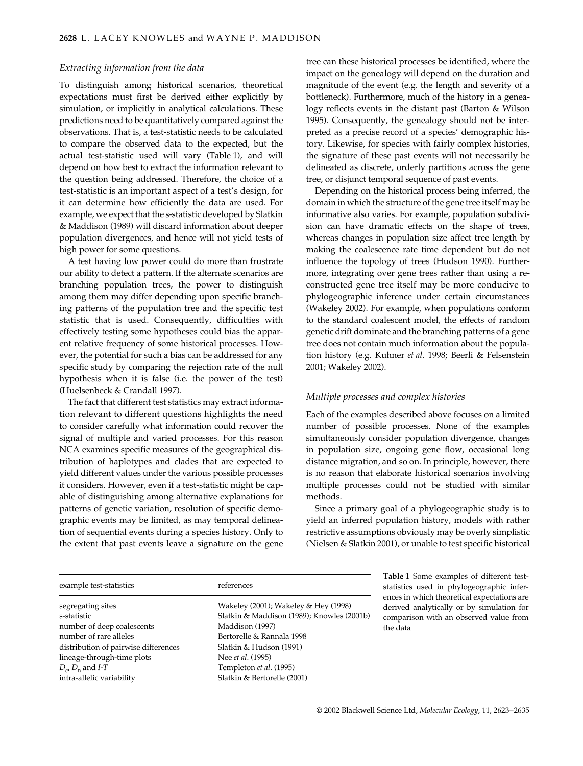#### *Extracting information from the data*

To distinguish among historical scenarios, theoretical expectations must first be derived either explicitly by simulation, or implicitly in analytical calculations. These predictions need to be quantitatively compared against the observations. That is, a test-statistic needs to be calculated to compare the observed data to the expected, but the actual test-statistic used will vary (Table 1), and will depend on how best to extract the information relevant to the question being addressed. Therefore, the choice of a test-statistic is an important aspect of a test's design, for it can determine how efficiently the data are used. For example, we expect that the s*-*statistic developed by Slatkin & Maddison (1989) will discard information about deeper population divergences, and hence will not yield tests of high power for some questions.

A test having low power could do more than frustrate our ability to detect a pattern. If the alternate scenarios are branching population trees, the power to distinguish among them may differ depending upon specific branching patterns of the population tree and the specific test statistic that is used. Consequently, difficulties with effectively testing some hypotheses could bias the apparent relative frequency of some historical processes. However, the potential for such a bias can be addressed for any specific study by comparing the rejection rate of the null hypothesis when it is false (i.e. the power of the test) (Huelsenbeck & Crandall 1997).

The fact that different test statistics may extract information relevant to different questions highlights the need to consider carefully what information could recover the signal of multiple and varied processes. For this reason NCA examines specific measures of the geographical distribution of haplotypes and clades that are expected to yield different values under the various possible processes it considers. However, even if a test-statistic might be capable of distinguishing among alternative explanations for patterns of genetic variation, resolution of specific demographic events may be limited, as may temporal delineation of sequential events during a species history. Only to the extent that past events leave a signature on the gene

L

tree can these historical processes be identified, where the impact on the genealogy will depend on the duration and magnitude of the event (e.g. the length and severity of a bottleneck). Furthermore, much of the history in a genealogy reflects events in the distant past (Barton & Wilson 1995). Consequently, the genealogy should not be interpreted as a precise record of a species' demographic history. Likewise, for species with fairly complex histories, the signature of these past events will not necessarily be delineated as discrete, orderly partitions across the gene tree, or disjunct temporal sequence of past events.

Depending on the historical process being inferred, the domain in which the structure of the gene tree itself may be informative also varies. For example, population subdivision can have dramatic effects on the shape of trees, whereas changes in population size affect tree length by making the coalescence rate time dependent but do not influence the topology of trees (Hudson 1990). Furthermore, integrating over gene trees rather than using a reconstructed gene tree itself may be more conducive to phylogeographic inference under certain circumstances (Wakeley 2002). For example, when populations conform to the standard coalescent model, the effects of random genetic drift dominate and the branching patterns of a gene tree does not contain much information about the population history (e.g. Kuhner *et al*. 1998; Beerli & Felsenstein 2001; Wakeley 2002).

#### *Multiple processes and complex histories*

Each of the examples described above focuses on a limited number of possible processes. None of the examples simultaneously consider population divergence, changes in population size, ongoing gene flow, occasional long distance migration, and so on. In principle, however, there is no reason that elaborate historical scenarios involving multiple processes could not be studied with similar methods.

Since a primary goal of a phylogeographic study is to yield an inferred population history, models with rather restrictive assumptions obviously may be overly simplistic (Nielsen & Slatkin 2001), or unable to test specific historical

| example test-statistics              | references                                 |
|--------------------------------------|--------------------------------------------|
| segregating sites                    | Wakeley (2001); Wakeley & Hey (1998)       |
| s-statistic                          | Slatkin & Maddison (1989); Knowles (2001b) |
| number of deep coalescents           | Maddison (1997)                            |
| number of rare alleles               | Bertorelle & Rannala 1998                  |
| distribution of pairwise differences | Slatkin & Hudson (1991)                    |
| lineage-through-time plots           | Nee <i>et al.</i> (1995)                   |
| $D_{c}$ , $D_{n}$ and I-T            | Templeton et al. (1995)                    |
| intra-allelic variability            | Slatkin & Bertorelle (2001)                |

**Table 1** Some examples of different teststatistics used in phylogeographic inferences in which theoretical expectations are derived analytically or by simulation for comparison with an observed value from the data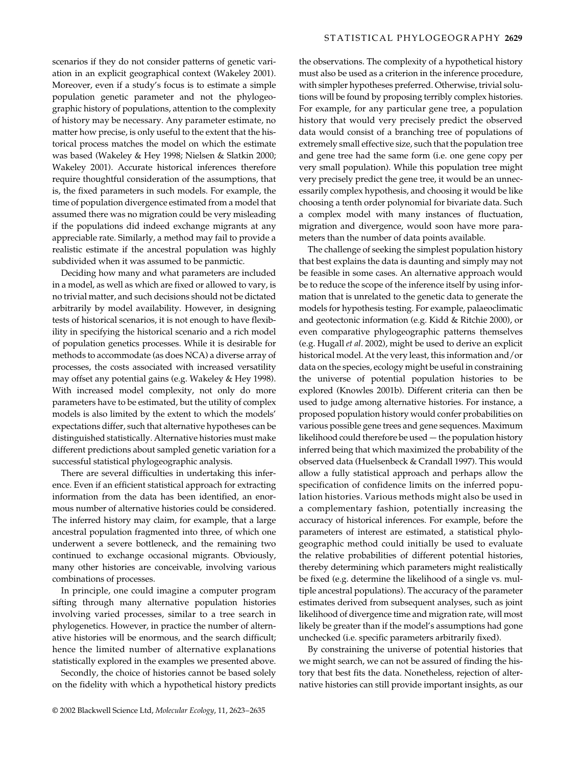scenarios if they do not consider patterns of genetic variation in an explicit geographical context (Wakeley 2001). Moreover, even if a study's focus is to estimate a simple population genetic parameter and not the phylogeographic history of populations, attention to the complexity of history may be necessary. Any parameter estimate, no matter how precise, is only useful to the extent that the historical process matches the model on which the estimate was based (Wakeley & Hey 1998; Nielsen & Slatkin 2000; Wakeley 2001). Accurate historical inferences therefore require thoughtful consideration of the assumptions, that is, the fixed parameters in such models. For example, the time of population divergence estimated from a model that assumed there was no migration could be very misleading if the populations did indeed exchange migrants at any appreciable rate. Similarly, a method may fail to provide a realistic estimate if the ancestral population was highly subdivided when it was assumed to be panmictic.

Deciding how many and what parameters are included in a model, as well as which are fixed or allowed to vary, is no trivial matter, and such decisions should not be dictated arbitrarily by model availability. However, in designing tests of historical scenarios, it is not enough to have flexibility in specifying the historical scenario and a rich model of population genetics processes. While it is desirable for methods to accommodate (as does NCA) a diverse array of processes, the costs associated with increased versatility may offset any potential gains (e.g. Wakeley & Hey 1998). With increased model complexity, not only do more parameters have to be estimated, but the utility of complex models is also limited by the extent to which the models' expectations differ, such that alternative hypotheses can be distinguished statistically. Alternative histories must make different predictions about sampled genetic variation for a successful statistical phylogeographic analysis.

There are several difficulties in undertaking this inference. Even if an efficient statistical approach for extracting information from the data has been identified, an enormous number of alternative histories could be considered. The inferred history may claim, for example, that a large ancestral population fragmented into three, of which one underwent a severe bottleneck, and the remaining two continued to exchange occasional migrants. Obviously, many other histories are conceivable, involving various combinations of processes.

In principle, one could imagine a computer program sifting through many alternative population histories involving varied processes, similar to a tree search in phylogenetics. However, in practice the number of alternative histories will be enormous, and the search difficult; hence the limited number of alternative explanations statistically explored in the examples we presented above.

Secondly, the choice of histories cannot be based solely on the fidelity with which a hypothetical history predicts the observations. The complexity of a hypothetical history must also be used as a criterion in the inference procedure, with simpler hypotheses preferred. Otherwise, trivial solutions will be found by proposing terribly complex histories. For example, for any particular gene tree, a population history that would very precisely predict the observed data would consist of a branching tree of populations of extremely small effective size, such that the population tree and gene tree had the same form (i.e. one gene copy per very small population). While this population tree might very precisely predict the gene tree, it would be an unnecessarily complex hypothesis, and choosing it would be like choosing a tenth order polynomial for bivariate data. Such a complex model with many instances of fluctuation, migration and divergence, would soon have more parameters than the number of data points available.

The challenge of seeking the simplest population history that best explains the data is daunting and simply may not be feasible in some cases. An alternative approach would be to reduce the scope of the inference itself by using information that is unrelated to the genetic data to generate the models for hypothesis testing. For example, palaeoclimatic and geotectonic information (e.g. Kidd & Ritchie 2000), or even comparative phylogeographic patterns themselves (e.g. Hugall *et al*. 2002), might be used to derive an explicit historical model. At the very least, this information and/or data on the species, ecology might be useful in constraining the universe of potential population histories to be explored (Knowles 2001b). Different criteria can then be used to judge among alternative histories. For instance, a proposed population history would confer probabilities on various possible gene trees and gene sequences. Maximum likelihood could therefore be used — the population history inferred being that which maximized the probability of the observed data (Huelsenbeck & Crandall 1997). This would allow a fully statistical approach and perhaps allow the specification of confidence limits on the inferred population histories. Various methods might also be used in a complementary fashion, potentially increasing the accuracy of historical inferences. For example, before the parameters of interest are estimated, a statistical phylogeographic method could initially be used to evaluate the relative probabilities of different potential histories, thereby determining which parameters might realistically be fixed (e.g. determine the likelihood of a single vs. multiple ancestral populations). The accuracy of the parameter estimates derived from subsequent analyses, such as joint likelihood of divergence time and migration rate, will most likely be greater than if the model's assumptions had gone unchecked (i.e. specific parameters arbitrarily fixed).

By constraining the universe of potential histories that we might search, we can not be assured of finding the history that best fits the data. Nonetheless, rejection of alternative histories can still provide important insights, as our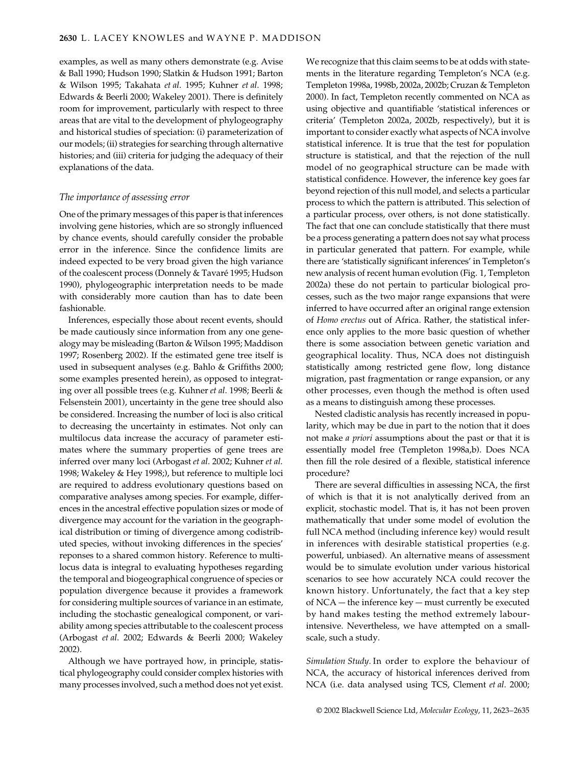examples, as well as many others demonstrate (e.g. Avise & Ball 1990; Hudson 1990; Slatkin & Hudson 1991; Barton & Wilson 1995; Takahata *et al*. 1995; Kuhner *et al*. 1998; Edwards & Beerli 2000; Wakeley 2001). There is definitely room for improvement, particularly with respect to three areas that are vital to the development of phylogeography and historical studies of speciation: (i) parameterization of our models; (ii) strategies for searching through alternative histories; and (iii) criteria for judging the adequacy of their explanations of the data.

#### *The importance of assessing error*

One of the primary messages of this paper is that inferences involving gene histories, which are so strongly influenced by chance events, should carefully consider the probable error in the inference. Since the confidence limits are indeed expected to be very broad given the high variance of the coalescent process (Donnely & Tavaré 1995; Hudson 1990), phylogeographic interpretation needs to be made with considerably more caution than has to date been fashionable.

Inferences, especially those about recent events, should be made cautiously since information from any one genealogy may be misleading (Barton & Wilson 1995; Maddison 1997; Rosenberg 2002). If the estimated gene tree itself is used in subsequent analyses (e.g. Bahlo & Griffiths 2000; some examples presented herein), as opposed to integrating over all possible trees (e.g. Kuhner *et al*. 1998; Beerli & Felsenstein 2001), uncertainty in the gene tree should also be considered. Increasing the number of loci is also critical to decreasing the uncertainty in estimates. Not only can multilocus data increase the accuracy of parameter estimates where the summary properties of gene trees are inferred over many loci (Arbogast *et al*. 2002; Kuhner *et al*. 1998; Wakeley & Hey 1998;), but reference to multiple loci are required to address evolutionary questions based on comparative analyses among species. For example, differences in the ancestral effective population sizes or mode of divergence may account for the variation in the geographical distribution or timing of divergence among codistributed species, without invoking differences in the species' reponses to a shared common history. Reference to multilocus data is integral to evaluating hypotheses regarding the temporal and biogeographical congruence of species or population divergence because it provides a framework for considering multiple sources of variance in an estimate, including the stochastic genealogical component, or variability among species attributable to the coalescent process (Arbogast *et al*. 2002; Edwards & Beerli 2000; Wakeley 2002).

Although we have portrayed how, in principle, statistical phylogeography could consider complex histories with many processes involved, such a method does not yet exist. We recognize that this claim seems to be at odds with statements in the literature regarding Templeton's NCA (e.g. Templeton 1998a, 1998b, 2002a, 2002b; Cruzan & Templeton 2000). In fact, Templeton recently commented on NCA as using objective and quantifiable 'statistical inferences or criteria' (Templeton 2002a, 2002b, respectively), but it is important to consider exactly what aspects of NCA involve statistical inference. It is true that the test for population structure is statistical, and that the rejection of the null model of no geographical structure can be made with statistical confidence. However, the inference key goes far beyond rejection of this null model, and selects a particular process to which the pattern is attributed. This selection of a particular process, over others, is not done statistically. The fact that one can conclude statistically that there must be a process generating a pattern does not say what process in particular generated that pattern. For example, while there are 'statistically significant inferences' in Templeton's new analysis of recent human evolution (Fig. 1, Templeton 2002a) these do not pertain to particular biological processes, such as the two major range expansions that were inferred to have occurred after an original range extension of *Homo erectus* out of Africa. Rather, the statistical inference only applies to the more basic question of whether there is some association between genetic variation and geographical locality. Thus, NCA does not distinguish statistically among restricted gene flow, long distance migration, past fragmentation or range expansion, or any other processes, even though the method is often used as a means to distinguish among these processes.

Nested cladistic analysis has recently increased in popularity, which may be due in part to the notion that it does not make *a priori* assumptions about the past or that it is essentially model free (Templeton 1998a,b). Does NCA then fill the role desired of a flexible, statistical inference procedure?

There are several difficulties in assessing NCA, the first of which is that it is not analytically derived from an explicit, stochastic model. That is, it has not been proven mathematically that under some model of evolution the full NCA method (including inference key) would result in inferences with desirable statistical properties (e.g. powerful, unbiased). An alternative means of assessment would be to simulate evolution under various historical scenarios to see how accurately NCA could recover the known history. Unfortunately, the fact that a key step of NCA — the inference key — must currently be executed by hand makes testing the method extremely labourintensive. Nevertheless, we have attempted on a smallscale, such a study.

*Simulation Study.* In order to explore the behaviour of NCA, the accuracy of historical inferences derived from NCA (i.e. data analysed using TCS, Clement *et al*. 2000;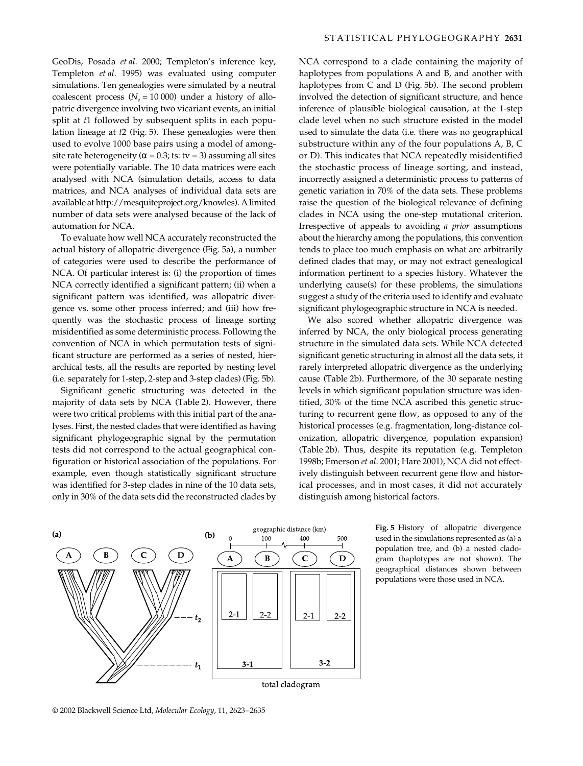GeoDis, Posada *et al*. 2000; Templeton's inference key, Templeton *et al*. 1995) was evaluated using computer simulations. Ten genealogies were simulated by a neutral  $coalescent process (N_e = 10000) under a history of allo$ patric divergence involving two vicariant events, an initial split at *t*1 followed by subsequent splits in each population lineage at *t*2 (Fig. 5). These genealogies were then used to evolve 1000 base pairs using a model of amongsite rate heterogeneity ( $\alpha = 0.3$ ; ts: tv = 3) assuming all sites were potentially variable. The 10 data matrices were each analysed with NCA (simulation details, access to data matrices, and NCA analyses of individual data sets are available at http://mesquiteproject.org/knowles). A limited number of data sets were analysed because of the lack of automation for NCA.

To evaluate how well NCA accurately reconstructed the actual history of allopatric divergence (Fig. 5a), a number of categories were used to describe the performance of NCA. Of particular interest is: (i) the proportion of times NCA correctly identified a significant pattern; (ii) when a significant pattern was identified, was allopatric divergence vs. some other process inferred; and (iii) how frequently was the stochastic process of lineage sorting misidentified as some deterministic process. Following the convention of NCA in which permutation tests of significant structure are performed as a series of nested, hierarchical tests, all the results are reported by nesting level (i.e. separately for 1-step, 2-step and 3-step clades) (Fig. 5b).

Significant genetic structuring was detected in the majority of data sets by NCA (Table 2). However, there were two critical problems with this initial part of the analyses. First, the nested clades that were identified as having significant phylogeographic signal by the permutation tests did not correspond to the actual geographical configuration or historical association of the populations. For example, even though statistically significant structure was identified for 3-step clades in nine of the 10 data sets, only in 30% of the data sets did the reconstructed clades by

NCA correspond to a clade containing the majority of haplotypes from populations A and B, and another with haplotypes from C and D (Fig. 5b). The second problem involved the detection of significant structure, and hence inference of plausible biological causation, at the 1-step clade level when no such structure existed in the model used to simulate the data (i.e. there was no geographical substructure within any of the four populations A, B, C or D). This indicates that NCA repeatedly misidentified the stochastic process of lineage sorting, and instead, incorrectly assigned a deterministic process to patterns of genetic variation in 70% of the data sets. These problems raise the question of the biological relevance of defining clades in NCA using the one-step mutational criterion. Irrespective of appeals to avoiding *a prior* assumptions about the hierarchy among the populations, this convention tends to place too much emphasis on what are arbitrarily defined clades that may, or may not extract genealogical information pertinent to a species history. Whatever the underlying cause(s) for these problems, the simulations suggest a study of the criteria used to identify and evaluate significant phylogeographic structure in NCA is needed.

We also scored whether allopatric divergence was inferred by NCA, the only biological process generating structure in the simulated data sets. While NCA detected significant genetic structuring in almost all the data sets, it rarely interpreted allopatric divergence as the underlying cause (Table 2b). Furthermore, of the 30 separate nesting levels in which significant population structure was identified, 30% of the time NCA ascribed this genetic structuring to recurrent gene flow, as opposed to any of the historical processes (e.g. fragmentation, long-distance colonization, allopatric divergence, population expansion) (Table 2b). Thus, despite its reputation (e.g. Templeton 1998b; Emerson *et al*. 2001; Hare 2001), NCA did not effectively distinguish between recurrent gene flow and historical processes, and in most cases, it did not accurately distinguish among historical factors.



© 2002 Blackwell Science Ltd, *Molecular Ecology*, 11, 2623–2635

**Fig. 5** History of allopatric divergence used in the simulations represented as (a) a population tree, and (b) a nested cladogram (haplotypes are not shown). The geographical distances shown between populations were those used in NCA.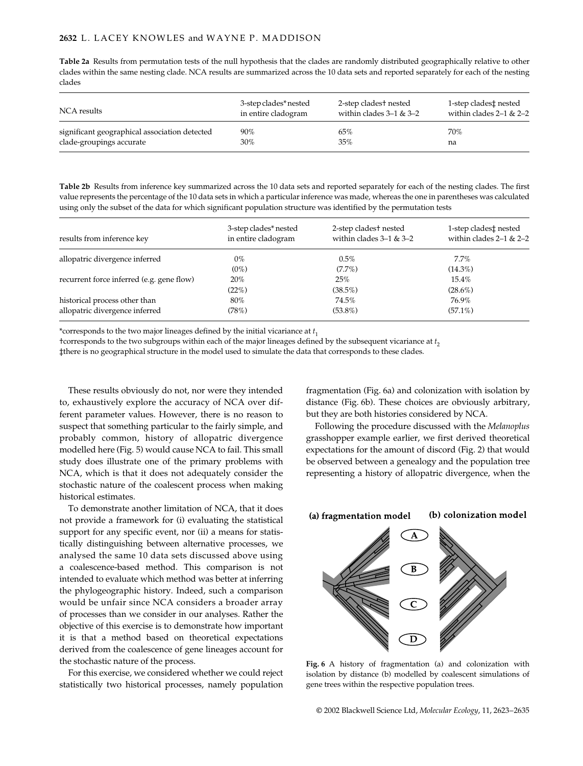#### **2632** L. LACEY KNOWLES and WAYNE P. MADDISON

**Table 2a** Results from permutation tests of the null hypothesis that the clades are randomly distributed geographically relative to other clades within the same nesting clade. NCA results are summarized across the 10 data sets and reported separately for each of the nesting clades

| NCA results                                   | 3-step clades* nested | 2-step cladest nested       | 1-step clades <sup>†</sup> nested |
|-----------------------------------------------|-----------------------|-----------------------------|-----------------------------------|
|                                               | in entire cladogram   | within clades $3-1$ & $3-2$ | within clades $2-1$ & $2-2$       |
| significant geographical association detected | 90%                   | 65%                         | 70%                               |
| clade-groupings accurate                      | $30\%$                | 35%                         | na                                |

**Table 2b** Results from inference key summarized across the 10 data sets and reported separately for each of the nesting clades. The first value represents the percentage of the 10 data sets in which a particular inference was made, whereas the one in parentheses was calculated using only the subset of the data for which significant population structure was identified by the permutation tests

| results from inference key                | 3-step clades* nested<br>in entire cladogram | 2-step cladest nested<br>within clades $3-1$ & $3-2$ | 1-step clades <sup>t</sup> nested<br>within clades $2-1$ & $2-2$ |
|-------------------------------------------|----------------------------------------------|------------------------------------------------------|------------------------------------------------------------------|
| allopatric divergence inferred            | $0\%$                                        | 0.5%                                                 | $7.7\%$                                                          |
|                                           | $(0\%)$                                      | $(7.7\%)$                                            | $(14.3\%)$                                                       |
| recurrent force inferred (e.g. gene flow) | 20%                                          | 25%                                                  | 15.4%                                                            |
|                                           | (22%)                                        | $(38.5\%)$                                           | $(28.6\%)$                                                       |
| historical process other than             | 80%                                          | 74.5%                                                | 76.9%                                                            |
| allopatric divergence inferred            | (78%)                                        | $(53.8\%)$                                           | $(57.1\%)$                                                       |

\*corresponds to the two major lineages defined by the initial vicariance at  $t_1$ 

 $\tau$  tcorresponds to the two subgroups within each of the major lineages defined by the subsequent vicariance at  $t_2$ 

‡there is no geographical structure in the model used to simulate the data that corresponds to these clades.

These results obviously do not, nor were they intended to, exhaustively explore the accuracy of NCA over different parameter values. However, there is no reason to suspect that something particular to the fairly simple, and probably common, history of allopatric divergence modelled here (Fig. 5) would cause NCA to fail. This small study does illustrate one of the primary problems with NCA, which is that it does not adequately consider the stochastic nature of the coalescent process when making historical estimates.

To demonstrate another limitation of NCA, that it does not provide a framework for (i) evaluating the statistical support for any specific event, nor (ii) a means for statistically distinguishing between alternative processes, we analysed the same 10 data sets discussed above using a coalescence-based method. This comparison is not intended to evaluate which method was better at inferring the phylogeographic history. Indeed, such a comparison would be unfair since NCA considers a broader array of processes than we consider in our analyses. Rather the objective of this exercise is to demonstrate how important it is that a method based on theoretical expectations derived from the coalescence of gene lineages account for the stochastic nature of the process.

For this exercise, we considered whether we could reject statistically two historical processes, namely population

fragmentation (Fig. 6a) and colonization with isolation by distance (Fig. 6b). These choices are obviously arbitrary, but they are both histories considered by NCA.

Following the procedure discussed with the *Melanoplus* grasshopper example earlier, we first derived theoretical expectations for the amount of discord (Fig. 2) that would be observed between a genealogy and the population tree representing a history of allopatric divergence, when the

(b) colonization model (a) fragmentation model



**Fig. 6** A history of fragmentation (a) and colonization with isolation by distance (b) modelled by coalescent simulations of gene trees within the respective population trees.

© 2002 Blackwell Science Ltd, *Molecular Ecology*, 11, 2623–2635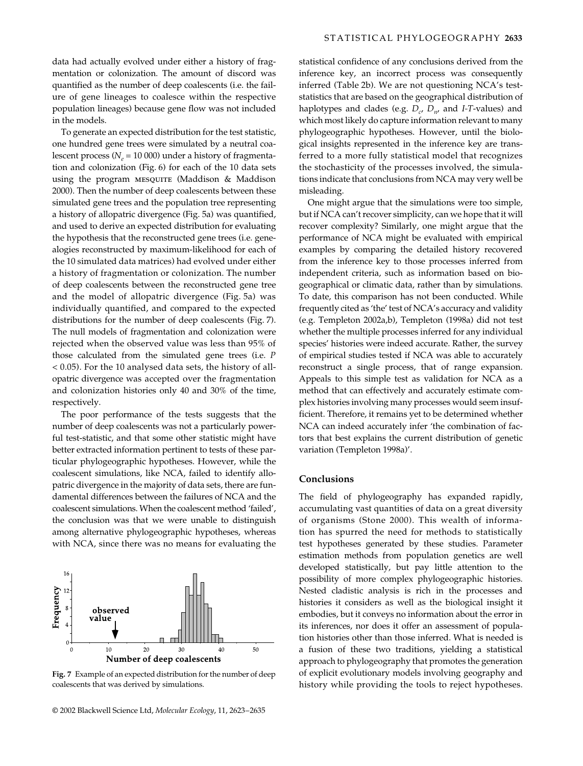data had actually evolved under either a history of fragmentation or colonization. The amount of discord was quantified as the number of deep coalescents (i.e. the failure of gene lineages to coalesce within the respective population lineages) because gene flow was not included in the models.

To generate an expected distribution for the test statistic, one hundred gene trees were simulated by a neutral coalescent process ( $N_e$  = 10 000) under a history of fragmentation and colonization (Fig. 6) for each of the 10 data sets using the program MESQUITE (Maddison & Maddison 2000). Then the number of deep coalescents between these simulated gene trees and the population tree representing a history of allopatric divergence (Fig. 5a) was quantified, and used to derive an expected distribution for evaluating the hypothesis that the reconstructed gene trees (i.e. genealogies reconstructed by maximum-likelihood for each of the 10 simulated data matrices) had evolved under either a history of fragmentation or colonization. The number of deep coalescents between the reconstructed gene tree and the model of allopatric divergence (Fig. 5a) was individually quantified, and compared to the expected distributions for the number of deep coalescents (Fig. 7). The null models of fragmentation and colonization were rejected when the observed value was less than 95% of those calculated from the simulated gene trees (i.e. *P* < 0.05). For the 10 analysed data sets, the history of allopatric divergence was accepted over the fragmentation and colonization histories only 40 and 30% of the time, respectively.

The poor performance of the tests suggests that the number of deep coalescents was not a particularly powerful test-statistic, and that some other statistic might have better extracted information pertinent to tests of these particular phylogeographic hypotheses. However, while the coalescent simulations, like NCA, failed to identify allopatric divergence in the majority of data sets, there are fundamental differences between the failures of NCA and the coalescent simulations. When the coalescent method 'failed', the conclusion was that we were unable to distinguish among alternative phylogeographic hypotheses, whereas with NCA, since there was no means for evaluating the



**Fig. 7** Example of an expected distribution for the number of deep coalescents that was derived by simulations.

statistical confidence of any conclusions derived from the inference key, an incorrect process was consequently inferred (Table 2b). We are not questioning NCA's teststatistics that are based on the geographical distribution of haplotypes and clades (e.g.  $D_{c}$ ,  $D_{n}$ , and *I-T*-values) and which most likely do capture information relevant to many phylogeographic hypotheses. However, until the biological insights represented in the inference key are transferred to a more fully statistical model that recognizes the stochasticity of the processes involved, the simulations indicate that conclusions from NCA may very well be misleading.

One might argue that the simulations were too simple, but if NCA can't recover simplicity, can we hope that it will recover complexity? Similarly, one might argue that the performance of NCA might be evaluated with empirical examples by comparing the detailed history recovered from the inference key to those processes inferred from independent criteria, such as information based on biogeographical or climatic data, rather than by simulations. To date, this comparison has not been conducted. While frequently cited as 'the' test of NCA's accuracy and validity (e.g. Templeton 2002a,b), Templeton (1998a) did not test whether the multiple processes inferred for any individual species' histories were indeed accurate. Rather, the survey of empirical studies tested if NCA was able to accurately reconstruct a single process, that of range expansion. Appeals to this simple test as validation for NCA as a method that can effectively and accurately estimate complex histories involving many processes would seem insufficient. Therefore, it remains yet to be determined whether NCA can indeed accurately infer 'the combination of factors that best explains the current distribution of genetic variation (Templeton 1998a)'.

# **Conclusions**

The field of phylogeography has expanded rapidly, accumulating vast quantities of data on a great diversity of organisms (Stone 2000). This wealth of information has spurred the need for methods to statistically test hypotheses generated by these studies. Parameter estimation methods from population genetics are well developed statistically, but pay little attention to the possibility of more complex phylogeographic histories. Nested cladistic analysis is rich in the processes and histories it considers as well as the biological insight it embodies, but it conveys no information about the error in its inferences, nor does it offer an assessment of population histories other than those inferred. What is needed is a fusion of these two traditions, yielding a statistical approach to phylogeography that promotes the generation of explicit evolutionary models involving geography and history while providing the tools to reject hypotheses.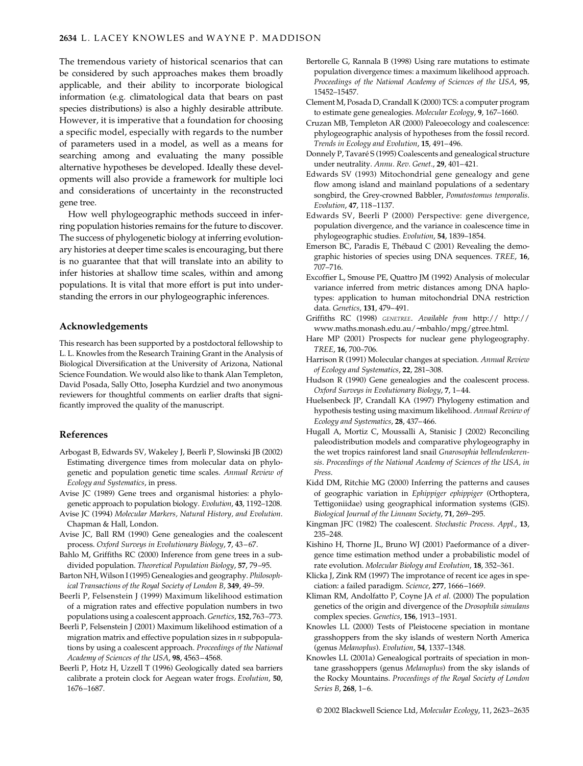The tremendous variety of historical scenarios that can be considered by such approaches makes them broadly applicable, and their ability to incorporate biological information (e.g. climatological data that bears on past species distributions) is also a highly desirable attribute. However, it is imperative that a foundation for choosing a specific model, especially with regards to the number of parameters used in a model, as well as a means for searching among and evaluating the many possible alternative hypotheses be developed. Ideally these developments will also provide a framework for multiple loci and considerations of uncertainty in the reconstructed gene tree.

How well phylogeographic methods succeed in inferring population histories remains for the future to discover. The success of phylogenetic biology at inferring evolutionary histories at deeper time scales is encouraging, but there is no guarantee that that will translate into an ability to infer histories at shallow time scales, within and among populations. It is vital that more effort is put into understanding the errors in our phylogeographic inferences.

# **Acknowledgements**

This research has been supported by a postdoctoral fellowship to L. L. Knowles from the Research Training Grant in the Analysis of Biological Diversification at the University of Arizona, National Science Foundation. We would also like to thank Alan Templeton, David Posada, Sally Otto, Josepha Kurdziel and two anonymous reviewers for thoughtful comments on earlier drafts that significantly improved the quality of the manuscript.

# **References**

- Arbogast B, Edwards SV, Wakeley J, Beerli P, Slowinski JB (2002) Estimating divergence times from molecular data on phylogenetic and population genetic time scales. *Annual Review of Ecology and Systematics*, in press.
- Avise JC (1989) Gene trees and organismal histories: a phylogenetic approach to population biology. *Evolution*, **43**, 1192–1208.
- Avise JC (1994) *Molecular Markers, Natural History, and Evolution*. Chapman & Hall, London.
- Avise JC, Ball RM (1990) Gene genealogies and the coalescent process. *Oxford Surveys in Evolutionary Biology*, **7**, 43–67.
- Bahlo M, Griffiths RC (2000) Inference from gene trees in a subdivided population. *Theoretical Population Biology*, **57**, 79–95.
- Barton NH, Wilson I (1995) Genealogies and geography. *Philosophical Transactions of the Royal Society of London B*, **349**, 49–59.
- Beerli P, Felsenstein J (1999) Maximum likelihood estimation of a migration rates and effective population numbers in two populations using a coalescent approach. *Genetics*, **152**, 763–773.
- Beerli P, Felsenstein J (2001) Maximum likelihood estimation of a migration matrix and effective population sizes in *n* subpopulations by using a coalescent approach. *Proceedings of the National Academy of Sciences of the USA*, **98**, 4563–4568.
- Beerli P, Hotz H, Uzzell T (1996) Geologically dated sea barriers calibrate a protein clock for Aegean water frogs. *Evolution*, **50**, 1676–1687.
- Bertorelle G, Rannala B (1998) Using rare mutations to estimate population divergence times: a maximum likelihood approach. *Proceedings of the National Academy of Sciences of the USA*, **95**, 15452–15457.
- Clement M, Posada D, Crandall K (2000) TCS: a computer program to estimate gene genealogies. *Molecular Ecology*, **9**, 167–1660.
- Cruzan MB, Templeton AR (2000) Paleoecology and coalescence: phylogeographic analysis of hypotheses from the fossil record. *Trends in Ecology and Evolution*, **15**, 491–496.
- Donnely P, Tavaré S (1995) Coalescents and genealogical structure under neutrality. *Annu*. *Rev*. *Genet*., **29**, 401–421.
- Edwards SV (1993) Mitochondrial gene genealogy and gene flow among island and mainland populations of a sedentary songbird, the Grey-crowned Babbler, *Pomatostomus temporalis*. *Evolution*, **47**, 118–1137.
- Edwards SV, Beerli P (2000) Perspective: gene divergence, population divergence, and the variance in coalescence time in phylogeographic studies. *Evolution*, **54**, 1839–1854.
- Emerson BC, Paradis E, Thébaud C (2001) Revealing the demographic histories of species using DNA sequences. *TREE*, **16**, 707–716.
- Excoffier L, Smouse PE, Quattro JM (1992) Analysis of molecular variance inferred from metric distances among DNA haplotypes: application to human mitochondrial DNA restriction data. *Genetics*, **131**, 479–491.
- Griffiths RC (1998) *GENETREE*. *Available from* <http://> <http://> www.maths.monash.edu.au/∼mbahlo/mpg/gtree.html.
- Hare MP (2001) Prospects for nuclear gene phylogeography. *TREE*, **16**, 700–706.
- Harrison R (1991) Molecular changes at speciation. *Annual Review of Ecology and Systematics*, **22**, 281–308.
- Hudson R (1990) Gene genealogies and the coalescent process. *Oxford Surveys in Evolutionary Biology*, **7**, 1–44.
- Huelsenbeck JP, Crandall KA (1997) Phylogeny estimation and hypothesis testing using maximum likelihood. *Annual Review of Ecology and Systematics*, **28**, 437–466.
- Hugall A, Mortiz C, Moussalli A, Stanisic J (2002) Reconciling paleodistribution models and comparative phylogeography in the wet tropics rainforest land snail *Gnarosophia bellendenkerensis*. *Proceedings of the National Academy of Sciences of the USA, in Press*.
- Kidd DM, Ritchie MG (2000) Inferring the patterns and causes of geographic variation in *Ephippiger ephippiger* (Orthoptera, Tettigoniidae) using geographical information systems (GIS). *Biological Journal of the Linnean Society*, **71**, 269–295.
- Kingman JFC (1982) The coalescent. *Stochastic Process*. *Appl*., **13**, 235–248.
- Kishino H, Thorne JL, Bruno WJ (2001) Paeformance of a divergence time estimation method under a probabilistic model of rate evolution. *Molecular Biology and Evolution*, **18**, 352–361.
- Klicka J, Zink RM (1997) The improtance of recent ice ages in speciation: a failed paradigm. *Science*, **277**, 1666–1669.
- Kliman RM, Andolfatto P, Coyne JA *et al.* (2000) The population genetics of the origin and divergence of the *Drosophila simulans* complex species. *Genetics*, **156**, 1913–1931.
- Knowles LL (2000) Tests of Pleistocene speciation in montane grasshoppers from the sky islands of western North America (genus *Melanoplus*). *Evolution*, **54**, 1337–1348.
- Knowles LL (2001a) Genealogical portraits of speciation in montane grasshoppers (genus *Melanoplus*) from the sky islands of the Rocky Mountains. *Proceedings of the Royal Society of London Series B*, **268**, 1–6.

© 2002 Blackwell Science Ltd, *Molecular Ecology*, 11, 2623–2635